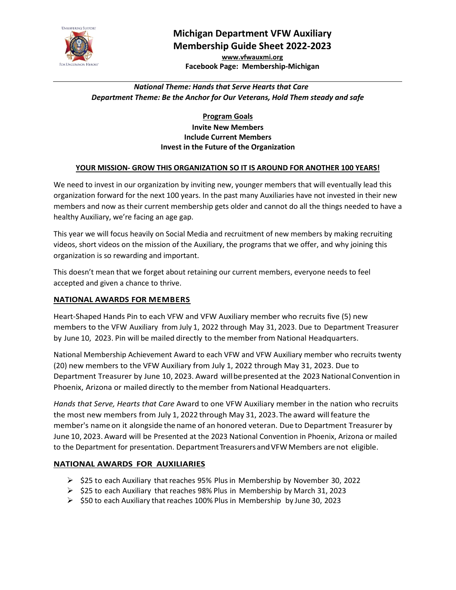

# **Michigan Department VFW Auxiliary Membership Guide Sheet 2022-2023**

**[www.vfwauxmi.org](http://www.vfwauxmi.org/) Facebook Page: Membership-Michigan**

## *National Theme: Hands that Serve Hearts that Care Department Theme: Be the Anchor for Our Veterans, Hold Them steady and safe*

**Program Goals Invite New Members Include Current Members Invest in the Future of the Organization**

### **YOUR MISSION- GROW THIS ORGANIZATION SO IT IS AROUND FOR ANOTHER 100 YEARS!**

We need to invest in our organization by inviting new, younger members that will eventually lead this organization forward for the next 100 years. In the past many Auxiliaries have not invested in their new members and now as their current membership gets older and cannot do all the things needed to have a healthy Auxiliary, we're facing an age gap.

This year we will focus heavily on Social Media and recruitment of new members by making recruiting videos, short videos on the mission of the Auxiliary, the programs that we offer, and why joining this organization is so rewarding and important.

This doesn't mean that we forget about retaining our current members, everyone needs to feel accepted and given a chance to thrive.

#### **NATIONAL AWARDS FOR MEMBERS**

Heart-Shaped Hands Pin to each VFW and VFW Auxiliary member who recruits five (5) new members to the VFW Auxiliary from July 1, 2022 through May 31, 2023. Due to Department Treasurer by June 10, 2023. Pin will be mailed directly to the member from National Headquarters.

National Membership Achievement Award to each VFW and VFW Auxiliary member who recruits twenty (20) new members to the VFW Auxiliary from July 1, 2022 through May 31, 2023. Due to Department Treasurer by June 10, 2023. Award willbepresented at the 2023 National Convention in Phoenix, Arizona or mailed directly to themember from National Headquarters.

*Hands that Serve, Hearts that Care* Award to one VFW Auxiliary member in the nation who recruits the most new members from July 1, 2022 through May 31, 2023.The award will feature the member's name on it alongside the name of an honored veteran. Due to Department Treasurer by June 10, 2023. Award will be Presented at the 2023 National Convention in Phoenix, Arizona or mailed to the Department for presentation. Department Treasurers and VFW Members are not eligible.

#### **NATIONAL AWARDS FOR AUXILIARIES**

- $\triangleright$  \$25 to each Auxiliary that reaches 95% Plus in Membership by November 30, 2022
- $\triangleright$  \$25 to each Auxiliary that reaches 98% Plus in Membership by March 31, 2023
- $\triangleright$  \$50 to each Auxiliary that reaches 100% Plus in Membership by June 30, 2023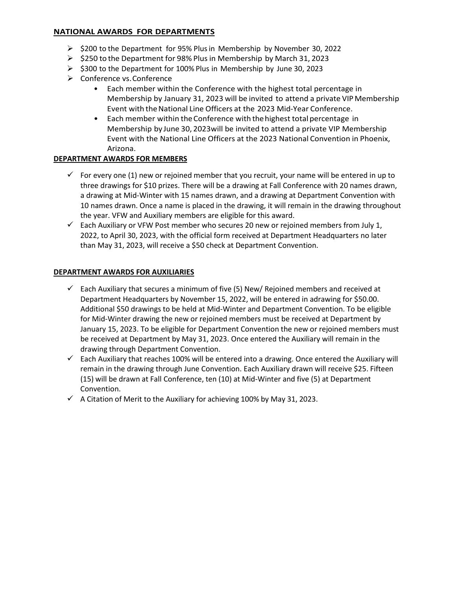#### **NATIONAL AWARDS FOR DEPARTMENTS**

- $\triangleright$  \$200 to the Department for 95% Plus in Membership by November 30, 2022
- $\triangleright$  \$250 to the Department for 98% Plus in Membership by March 31, 2023
- $\ge$  \$300 to the Department for 100% Plus in Membership by June 30, 2023
- Conference vs.Conference
	- Each member within the Conference with the highest total percentage in Membership by January 31, 2023 will be invited to attend a private VIPMembership Event with the National Line Officers at the 2023 Mid-Year Conference.
	- Each member within theConference with thehighest total percentage in Membership by June 30, 2023will be invited to attend a private VIP Membership Event with the National Line Officers at the 2023 National Convention in Phoenix, Arizona.

## **DEPARTMENT AWARDS FOR MEMBERS**

- $\checkmark$  For every one (1) new or rejoined member that you recruit, your name will be entered in up to three drawings for \$10 prizes. There will be a drawing at Fall Conference with 20 names drawn, a drawing at Mid-Winter with 15 names drawn, and a drawing at Department Convention with 10 names drawn. Once a name is placed in the drawing, it will remain in the drawing throughout the year. VFW and Auxiliary members are eligible for this award.
- $\checkmark$  Each Auxiliary or VFW Post member who secures 20 new or rejoined members from July 1, 2022, to April 30, 2023, with the official form received at Department Headquarters no later than May 31, 2023, will receive a \$50 check at Department Convention.

## **DEPARTMENT AWARDS FOR AUXILIARIES**

- $\checkmark$  Each Auxiliary that secures a minimum of five (5) New/ Rejoined members and received at Department Headquarters by November 15, 2022, will be entered in adrawing for \$50.00. Additional \$50 drawings to be held at Mid-Winter and Department Convention. To be eligible for Mid-Winter drawing the new or rejoined members must be received at Department by January 15, 2023. To be eligible for Department Convention the new or rejoined members must be received at Department by May 31, 2023. Once entered the Auxiliary will remain in the drawing through Department Convention.
- $\checkmark$  Each Auxiliary that reaches 100% will be entered into a drawing. Once entered the Auxiliary will remain in the drawing through June Convention. Each Auxiliary drawn will receive \$25. Fifteen (15) will be drawn at Fall Conference, ten (10) at Mid-Winter and five (5) at Department Convention.
- $\checkmark$  A Citation of Merit to the Auxiliary for achieving 100% by May 31, 2023.